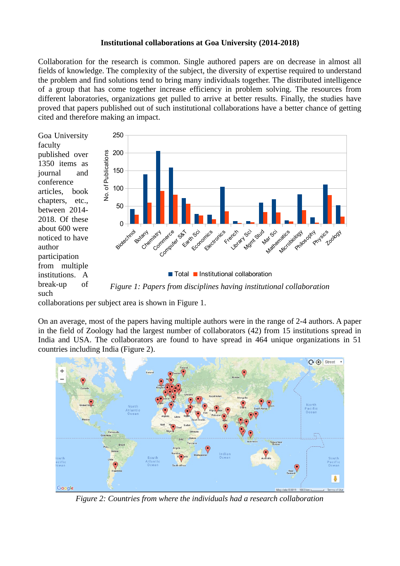## **Institutional collaborations at Goa University (2014-2018)**

Collaboration for the research is common. Single authored papers are on decrease in almost all fields of knowledge. The complexity of the subject, the diversity of expertise required to understand the problem and find solutions tend to bring many individuals together. The distributed intelligence of a group that has come together increase efficiency in problem solving. The resources from different laboratories, organizations get pulled to arrive at better results. Finally, the studies have proved that papers published out of such institutional collaborations have a better chance of getting cited and therefore making an impact.

Goa University faculty published over 1350 items as journal and conference articles, book chapters, etc., between 2014- 2018. Of these about 600 were noticed to have author participation from multiple institutions. A break-up of such



collaborations per subject area is shown in Figure 1.

On an average, most of the papers having multiple authors were in the range of 2-4 authors. A paper in the field of Zoology had the largest number of collaborators (42) from 15 institutions spread in India and USA. The collaborators are found to have spread in 464 unique organizations in 51 countries including India (Figure 2).



*Figure 2: Countries from where the individuals had a research collaboration*